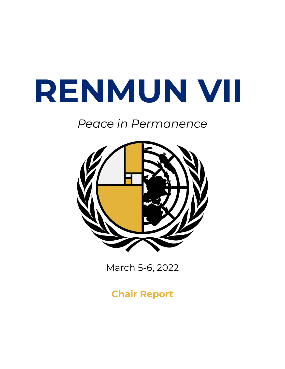# **RENMUN VII**

# *Peace in Permanence*



March 5-6, 2022

**Chair Report**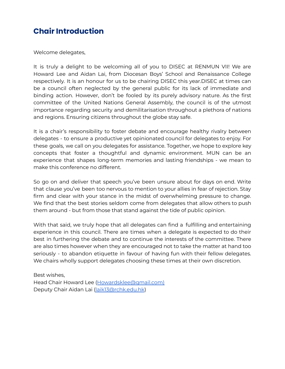# **Chair Introduction**

Welcome delegates,

It is truly a delight to be welcoming all of you to DISEC at RENMUN VII! We are Howard Lee and Aidan Lai, from Diocesan Boys' School and Renaissance College respectively. It is an honour for us to be chairing DISEC this year.DISEC at times can be a council often neglected by the general public for its lack of immediate and binding action. However, don't be fooled by its purely advisory nature. As the first committee of the United Nations General Assembly, the council is of the utmost importance regarding security and demilitarisation throughout a plethora of nations and regions. Ensuring citizens throughout the globe stay safe.

It is a chair's responsibility to foster debate and encourage healthy rivalry between delegates - to ensure a productive yet opinionated council for delegates to enjoy. For these goals, we call on you delegates for assistance. Together, we hope to explore key concepts that foster a thoughtful and dynamic environment. MUN can be an experience that shapes long-term memories and lasting friendships - we mean to make this conference no different.

So go on and deliver that speech you've been unsure about for days on end. Write that clause you've been too nervous to mention to your allies in fear of rejection. Stay firm and clear with your stance in the midst of overwhelming pressure to change. We find that the best stories seldom come from delegates that allow others to push them around - but from those that stand against the tide of public opinion.

With that said, we truly hope that all delegates can find a fulfilling and entertaining experience in this council. There are times when a delegate is expected to do their best in furthering the debate and to continue the interests of the committee. There are also times however when they are encouraged not to take the matter at hand too seriously - to abandon etiquette in favour of having fun with their fellow delegates. We chairs wholly support delegates choosing these times at their own discretion.

Best wishes, Head Chair Howard Lee ([Howardsklee@gmail.com\)](mailto:Howardsklee@gmail.com) Deputy Chair Aidan Lai [\(laik13@rchk.edu.hk](mailto:Laik13@rchk.edu.hk))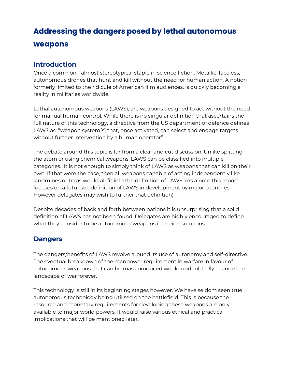# **Addressing the dangers posed by lethal autonomous weapons**

#### **Introduction**

Once a common - almost stereotypical staple in science fiction. Metallic, faceless, autonomous drones that hunt and kill without the need for human action. A notion formerly limited to the ridicule of American film audiences, is quickly becoming a reality in militaries worldwide.

Lethal autonomous weapons (LAWS), are weapons designed to act without the need for manual human control. While there is no singular definition that ascertains the full nature of this technology, a directive from the US department of defence defines LAWS as: "weapon system[s] that, once activated, can select and engage targets without further intervention by a human operator".

The debate around this topic is far from a clear and cut discussion. Unlike splitting the atom or using chemical weapons, LAWS can be classified into multiple categories. It is not enough to simply think of LAWS as weapons that can kill on their own. If that were the case, then all weapons capable of acting independently like landmines or traps would all fit into the definition of LAWS. (As a note this report focuses on a futuristic definition of LAWS in development by major countries. However delegates may wish to further that definition)

Despite decades of back and forth between nations it is unsurprising that a solid definition of LAWS has not been found. Delegates are highly encouraged to define what they consider to be autonomous weapons in their resolutions.

#### **Dangers**

The dangers/benefits of LAWS revolve around its use of autonomy and self-directive. The eventual breakdown of the manpower requirement in warfare in favour of autonomous weapons that can be mass produced would undoubtedly change the landscape of war forever.

This technology is still in its beginning stages however. We have seldom seen true autonomous technology being utilised on the battlefield. This is because the resource and monetary requirements for developing these weapons are only available to major world powers. It would raise various ethical and practical implications that will be mentioned later.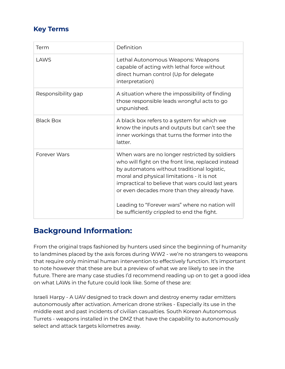### **Key Terms**

| Term               | Definition                                                                                                                                                                                                                                                                                                                                                                                             |
|--------------------|--------------------------------------------------------------------------------------------------------------------------------------------------------------------------------------------------------------------------------------------------------------------------------------------------------------------------------------------------------------------------------------------------------|
| LAWS               | Lethal Autonomous Weapons: Weapons<br>capable of acting with lethal force without<br>direct human control (Up for delegate<br>interpretation)                                                                                                                                                                                                                                                          |
| Responsibility gap | A situation where the impossibility of finding<br>those responsible leads wrongful acts to go<br>unpunished.                                                                                                                                                                                                                                                                                           |
| <b>Black Box</b>   | A black box refers to a system for which we<br>know the inputs and outputs but can't see the<br>inner workings that turns the former into the<br>latter.                                                                                                                                                                                                                                               |
| Forever Wars       | When wars are no longer restricted by soldiers<br>who will fight on the front line, replaced instead<br>by automatons without traditional logistic,<br>moral and physical limitations - it is not<br>impractical to believe that wars could last years<br>or even decades more than they already have.<br>Leading to "Forever wars" where no nation will<br>be sufficiently crippled to end the fight. |

# **Background Information:**

From the original traps fashioned by hunters used since the beginning of humanity to landmines placed by the axis forces during WW2 - we're no strangers to weapons that require only minimal human intervention to effectively function. It's important to note however that these are but a preview of what we are likely to see in the future. There are many case studies I'd recommend reading up on to get a good idea on what LAWs in the future could look like. Some of these are:

Israeli Harpy - A UAV designed to track down and destroy enemy radar emitters autonomously after activation. American drone strikes - Especially its use in the middle east and past incidents of civilian casualties. South Korean Autonomous Turrets - weapons installed in the DMZ that have the capability to autonomously select and attack targets kilometres away.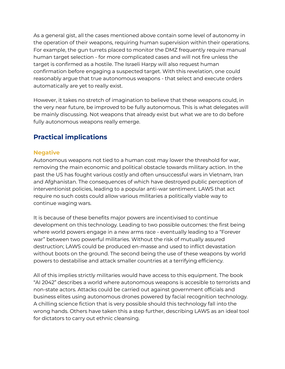As a general gist, all the cases mentioned above contain some level of autonomy in the operation of their weapons, requiring human supervision within their operations. For example, the gun turrets placed to monitor the DMZ frequently require manual human target selection - for more complicated cases and will not fire unless the target is confirmed as a hostile. The Israeli Harpy will also request human confirmation before engaging a suspected target. With this revelation, one could reasonably argue that true autonomous weapons - that select and execute orders automatically are yet to really exist.

However, it takes no stretch of imagination to believe that these weapons could, in the very near future, be improved to be fully autonomous. This is what delegates will be mainly discussing. Not weapons that already exist but what we are to do before fully autonomous weapons really emerge.

#### **Practical implications**

#### **Negative**

Autonomous weapons not tied to a human cost may lower the threshold for war, removing the main economic and political obstacle towards military action. In the past the US has fought various costly and often unsuccessful wars in Vietnam, Iran and Afghanistan. The consequences of which have destroyed public perception of interventionist policies, leading to a popular anti-war sentiment. LAWS that act require no such costs could allow various militaries a politically viable way to continue waging wars.

It is because of these benefits major powers are incentivised to continue development on this technology. Leading to two possible outcomes: the first being where world powers engage in a new arms race - eventually leading to a "Forever war" between two powerful militaries. Without the risk of mutually assured destruction; LAWS could be produced en-masse and used to inflict devastation without boots on the ground. The second being the use of these weapons by world powers to destabilise and attack smaller countries at a terrifying efficiency.

All of this implies strictly militaries would have access to this equipment. The book "AI 2042" describes a world where autonomous weapons is accesible to terrorists and non-state actors. Attacks could be carried out against government officials and business elites using autonomous drones powered by facial recognition technology. A chilling science fiction that is very possible should this technology fall into the wrong hands. Others have taken this a step further, describing LAWS as an ideal tool for dictators to carry out ethnic cleansing.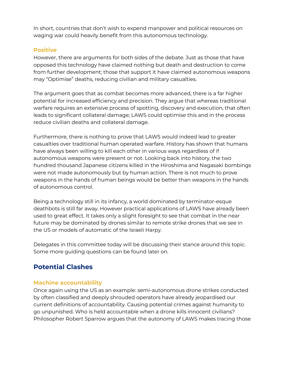In short, countries that don't wish to expend manpower and political resources on waging war could heavily benefit from this autonomous technology.

#### **Positive**

However, there are arguments for both sides of the debate. Just as those that have opposed this technology have claimed nothing but death and destruction to come from further development; those that support it have claimed autonomous weapons may "Optimise" deaths, reducing civilian and military casualties.

The argument goes that as combat becomes more advanced, there is a far higher potential for increased efficiency and precision. They argue that whereas traditional warfare requires an extensive process of spotting, discovery and execution, that often leads to significant collateral damage; LAWS could optimise this and in the process reduce civilian deaths and collateral damage.

Furthermore, there is nothing to prove that LAWS would indeed lead to greater casualties over traditional human operated warfare. History has shown that humans have always been willing to kill each other in various ways regardless of if autonomous weapons were present or not. Looking back into history, the two hundred thousand Japanese citizens killed in the Hiroshima and Nagasaki bombings were not made autonomously but by human action. There is not much to prove weapons in the hands of human beings would be better than weapons in the hands of autonomous control.

Being a technology still in its infancy, a world dominated by terminator-esque deathbots is still far away. However practical applications of LAWS have already been used to great effect. It takes only a slight foresight to see that combat in the near future may be dominated by drones similar to remote strike drones that we see in the US or models of automatic of the Israeli Harpy.

Delegates in this committee today will be discussing their stance around this topic. Some more guiding questions can be found later on.

## **Potential Clashes**

#### **Machine accountability**

Once again using the US as an example: semi-autonomous drone strikes conducted by often classified and deeply shrouded operators have already jeopardised our current definitions of accountability. Causing potential crimes against humanity to go unpunished. Who is held accountable when a drone kills innocent civilians? Philosopher Robert Sparrow argues that the autonomy of LAWS makes tracing those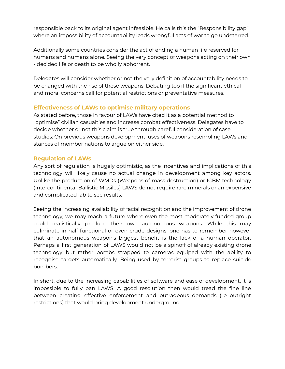responsible back to its original agent infeasible. He calls this the "Responsibility gap", where an impossibility of accountability leads wrongful acts of war to go undeterred.

Additionally some countries consider the act of ending a human life reserved for humans and humans alone. Seeing the very concept of weapons acting on their own - decided life or death to be wholly abhorrent.

Delegates will consider whether or not the very definition of accountability needs to be changed with the rise of these weapons. Debating too if the significant ethical and moral concerns call for potential restrictions or preventative measures.

#### **Effectiveness of LAWs to optimise military operations**

As stated before, those in favour of LAWs have cited it as a potential method to "optimise" civilian casualties and increase combat effectiveness. Delegates have to decide whether or not this claim is true through careful consideration of case studies: On previous weapons development, uses of weapons resembling LAWs and stances of member nations to argue on either side.

#### **Regulation of LAWs**

Any sort of regulation is hugely optimistic, as the incentives and implications of this technology will likely cause no actual change in development among key actors. Unlike the production of WMDs (Weapons of mass destruction) or ICBM technology (Intercontinental Ballistic Missiles) LAWS do not require rare minerals or an expensive and complicated lab to see results.

Seeing the increasing availability of facial recognition and the improvement of drone technology, we may reach a future where even the most moderately funded group could realistically produce their own autonomous weapons. While this may culminate in half-functional or even crude designs; one has to remember however that an autonomous weapon's biggest benefit is the lack of a human operator. Perhaps a first generation of LAWS would not be a spinoff of already existing drone technology but rather bombs strapped to cameras equiped with the ability to recognise targets automatically. Being used by terrorist groups to replace suicide bombers.

In short, due to the increasing capabilities of software and ease of development, It is impossible to fully ban LAWS. A good resolution then would tread the fine line between creating effective enforcement and outrageous demands (i.e outright restrictions) that would bring development underground.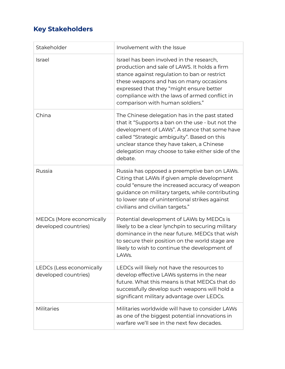# **Key Stakeholders**

| Stakeholder                                      | Involvement with the Issue                                                                                                                                                                                                                                                                                            |
|--------------------------------------------------|-----------------------------------------------------------------------------------------------------------------------------------------------------------------------------------------------------------------------------------------------------------------------------------------------------------------------|
| Israel                                           | Israel has been involved in the research,<br>production and sale of LAWS. It holds a firm<br>stance against regulation to ban or restrict<br>these weapons and has on many occasions<br>expressed that they "might ensure better<br>compliance with the laws of armed conflict in<br>comparison with human soldiers." |
| China                                            | The Chinese delegation has in the past stated<br>that it "Supports a ban on the use - but not the<br>development of LAWs". A stance that some have<br>called "Strategic ambiguity". Based on this<br>unclear stance they have taken, a Chinese<br>delegation may choose to take either side of the<br>debate.         |
| Russia                                           | Russia has opposed a preemptive ban on LAWs.<br>Citing that LAWs if given ample development<br>could "ensure the increased accuracy of weapon<br>guidance on military targets, while contributing<br>to lower rate of unintentional strikes against<br>civilians and civilian targets."                               |
| MEDCs (More economically<br>developed countries) | Potential development of LAWs by MEDCs is<br>likely to be a clear lynchpin to securing military<br>dominance in the near future. MEDCs that wish<br>to secure their position on the world stage are<br>likely to wish to continue the development of<br>LAWs.                                                         |
| LEDCs (Less economically<br>developed countries) | LEDCs will likely not have the resources to<br>develop effective LAWs systems in the near<br>future. What this means is that MEDCs that do<br>successfully develop such weapons will hold a<br>significant military advantage over LEDCs.                                                                             |
| <b>Militaries</b>                                | Militaries worldwide will have to consider LAWs<br>as one of the biggest potential innovations in<br>warfare we'll see in the next few decades.                                                                                                                                                                       |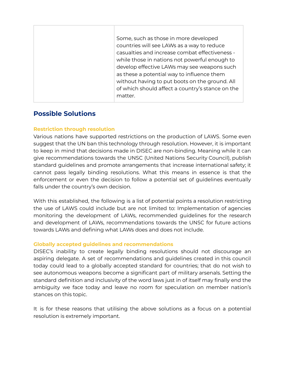| Some, such as those in more developed<br>countries will see LAWs as a way to reduce<br>casualties and increase combat effectiveness -<br>while those in nations not powerful enough to                     |
|------------------------------------------------------------------------------------------------------------------------------------------------------------------------------------------------------------|
| develop effective LAWs may see weapons such<br>as these a potential way to influence them<br>without having to put boots on the ground. All<br>of which should affect a country's stance on the<br>matter. |

#### **Possible Solutions**

#### **Restriction through resolution**

Various nations have supported restrictions on the production of LAWS. Some even suggest that the UN ban this technology through resolution. However, it is important to keep in mind that decisions made in DISEC are non-binding. Meaning while it can give recommendations towards the UNSC (United Nations Security Council), publish standard guidelines and promote arrangements that increase international safety; it cannot pass legally binding resolutions. What this means in essence is that the enforcement or even the decision to follow a potential set of guidelines eventually falls under the country's own decision.

With this established, the following is a list of potential points a resolution restricting the use of LAWS could include but are not limited to: Implementation of agencies monitoring the development of LAWs, recommended guidelines for the research and development of LAWs, recommendations towards the UNSC for future actions towards LAWs and defining what LAWs does and does not include.

#### **Globally accepted guidelines and recommendations**

DISEC's inability to create legally binding resolutions should not discourage an aspiring delegate. A set of recommendations and guidelines created in this council today could lead to a globally accepted standard for countries; that do not wish to see autonomous weapons become a significant part of military arsenals. Setting the standard definition and inclusivity of the word laws just in of itself may finally end the ambiguity we face today and leave no room for speculation on member nation's stances on this topic.

It is for these reasons that utilising the above solutions as a focus on a potential resolution is extremely important.